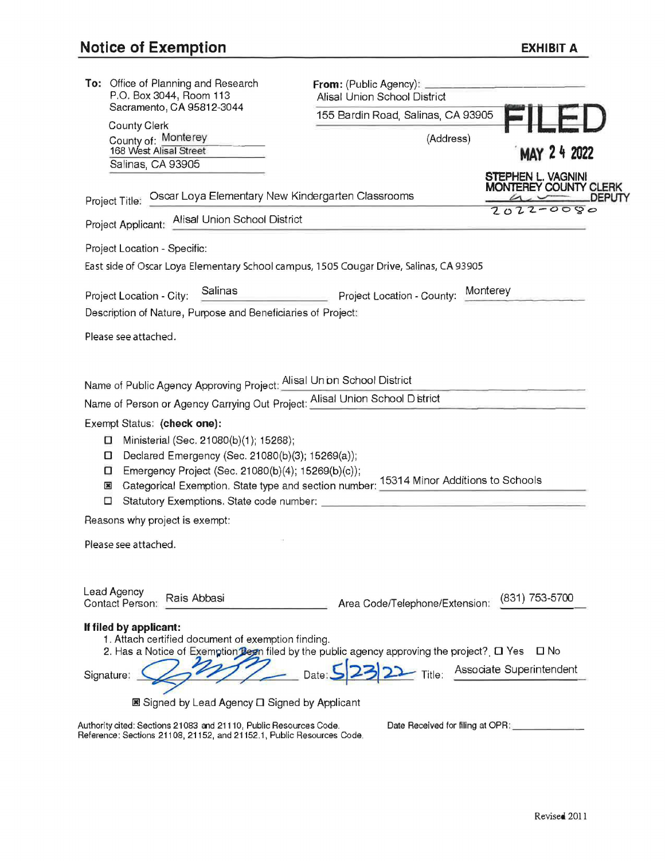| 155 Bardin Road, Salinas, CA 93905<br><b>County Clerk</b><br>County of: Monterey<br>(Address)<br>168 West Alisal Street<br>MAY 24 2022<br>Salinas, CA 93905<br><b>STEPHEN L. VAGNINI</b><br><b>MONTEREY COUNTY CLERK</b><br>Project Title: Oscar Loya Elementary New Kindergarten Classrooms<br>DEPUTY<br>$7022 - 0080$<br>Project Applicant: Alisal Union School District<br>Project Location - Specific:<br>East side of Oscar Loya Elementary School campus, 1505 Cougar Drive, Salinas, CA 93905<br>Salinas<br>Project Location - County: Monterey<br>Project Location - City:<br>Description of Nature, Purpose and Beneficiaries of Project:<br>Please see attached.<br>Name of Public Agency Approving Project: Alisal Union School District<br>Name of Person or Agency Carrying Out Project: Alisal Union School District<br>Exempt Status: (check one):<br>Ministerial (Sec. 21080(b)(1); 15268);<br>0<br>Declared Emergency (Sec. 21080(b)(3); 15269(a));<br>ο<br>Emergency Project (Sec. 21080(b)(4); 15269(b)(c));<br>□<br>Categorical Exemption. State type and section number: 15314 Minor Additions to Schools<br>×<br>□<br>Reasons why project is exempt:<br>Please see attached.<br>Lead Agency<br>Rais Abbasi<br>(831) 753-5700<br>Area Code/Telephone/Extension:<br>Contact Person:<br>If filed by applicant:<br>1. Attach certified document of exemption finding.<br>2. Has a Notice of Exemption Been filed by the public agency approving the project? [ O Yes<br>$\square$ No<br>Associate Superintendent<br>Title:<br>Signature:<br><b>E</b> Signed by Lead Agency <b>□</b> Signed by Applicant<br>Authority cited: Sections 21083 and 21110, Public Resources Code.<br>Date Received for filing at OPR: | To: Office of Planning and Research<br>P.O. Box 3044, Room 113 | From: (Public Agency): ___________<br><b>Alisal Union School District</b> |  |  |
|------------------------------------------------------------------------------------------------------------------------------------------------------------------------------------------------------------------------------------------------------------------------------------------------------------------------------------------------------------------------------------------------------------------------------------------------------------------------------------------------------------------------------------------------------------------------------------------------------------------------------------------------------------------------------------------------------------------------------------------------------------------------------------------------------------------------------------------------------------------------------------------------------------------------------------------------------------------------------------------------------------------------------------------------------------------------------------------------------------------------------------------------------------------------------------------------------------------------------------------------------------------------------------------------------------------------------------------------------------------------------------------------------------------------------------------------------------------------------------------------------------------------------------------------------------------------------------------------------------------------------------------------------------------------------------------------------------------------------------|----------------------------------------------------------------|---------------------------------------------------------------------------|--|--|
|                                                                                                                                                                                                                                                                                                                                                                                                                                                                                                                                                                                                                                                                                                                                                                                                                                                                                                                                                                                                                                                                                                                                                                                                                                                                                                                                                                                                                                                                                                                                                                                                                                                                                                                                    | Sacramento, CA 95812-3044                                      |                                                                           |  |  |
|                                                                                                                                                                                                                                                                                                                                                                                                                                                                                                                                                                                                                                                                                                                                                                                                                                                                                                                                                                                                                                                                                                                                                                                                                                                                                                                                                                                                                                                                                                                                                                                                                                                                                                                                    |                                                                |                                                                           |  |  |
|                                                                                                                                                                                                                                                                                                                                                                                                                                                                                                                                                                                                                                                                                                                                                                                                                                                                                                                                                                                                                                                                                                                                                                                                                                                                                                                                                                                                                                                                                                                                                                                                                                                                                                                                    |                                                                |                                                                           |  |  |
|                                                                                                                                                                                                                                                                                                                                                                                                                                                                                                                                                                                                                                                                                                                                                                                                                                                                                                                                                                                                                                                                                                                                                                                                                                                                                                                                                                                                                                                                                                                                                                                                                                                                                                                                    |                                                                |                                                                           |  |  |
|                                                                                                                                                                                                                                                                                                                                                                                                                                                                                                                                                                                                                                                                                                                                                                                                                                                                                                                                                                                                                                                                                                                                                                                                                                                                                                                                                                                                                                                                                                                                                                                                                                                                                                                                    |                                                                |                                                                           |  |  |
|                                                                                                                                                                                                                                                                                                                                                                                                                                                                                                                                                                                                                                                                                                                                                                                                                                                                                                                                                                                                                                                                                                                                                                                                                                                                                                                                                                                                                                                                                                                                                                                                                                                                                                                                    |                                                                |                                                                           |  |  |
|                                                                                                                                                                                                                                                                                                                                                                                                                                                                                                                                                                                                                                                                                                                                                                                                                                                                                                                                                                                                                                                                                                                                                                                                                                                                                                                                                                                                                                                                                                                                                                                                                                                                                                                                    |                                                                |                                                                           |  |  |
|                                                                                                                                                                                                                                                                                                                                                                                                                                                                                                                                                                                                                                                                                                                                                                                                                                                                                                                                                                                                                                                                                                                                                                                                                                                                                                                                                                                                                                                                                                                                                                                                                                                                                                                                    |                                                                |                                                                           |  |  |
|                                                                                                                                                                                                                                                                                                                                                                                                                                                                                                                                                                                                                                                                                                                                                                                                                                                                                                                                                                                                                                                                                                                                                                                                                                                                                                                                                                                                                                                                                                                                                                                                                                                                                                                                    |                                                                |                                                                           |  |  |
|                                                                                                                                                                                                                                                                                                                                                                                                                                                                                                                                                                                                                                                                                                                                                                                                                                                                                                                                                                                                                                                                                                                                                                                                                                                                                                                                                                                                                                                                                                                                                                                                                                                                                                                                    |                                                                |                                                                           |  |  |
|                                                                                                                                                                                                                                                                                                                                                                                                                                                                                                                                                                                                                                                                                                                                                                                                                                                                                                                                                                                                                                                                                                                                                                                                                                                                                                                                                                                                                                                                                                                                                                                                                                                                                                                                    |                                                                |                                                                           |  |  |
|                                                                                                                                                                                                                                                                                                                                                                                                                                                                                                                                                                                                                                                                                                                                                                                                                                                                                                                                                                                                                                                                                                                                                                                                                                                                                                                                                                                                                                                                                                                                                                                                                                                                                                                                    |                                                                |                                                                           |  |  |
|                                                                                                                                                                                                                                                                                                                                                                                                                                                                                                                                                                                                                                                                                                                                                                                                                                                                                                                                                                                                                                                                                                                                                                                                                                                                                                                                                                                                                                                                                                                                                                                                                                                                                                                                    |                                                                |                                                                           |  |  |
|                                                                                                                                                                                                                                                                                                                                                                                                                                                                                                                                                                                                                                                                                                                                                                                                                                                                                                                                                                                                                                                                                                                                                                                                                                                                                                                                                                                                                                                                                                                                                                                                                                                                                                                                    |                                                                |                                                                           |  |  |
| Reference: Sections 21108, 21152, and 21152.1, Public Resources Code.                                                                                                                                                                                                                                                                                                                                                                                                                                                                                                                                                                                                                                                                                                                                                                                                                                                                                                                                                                                                                                                                                                                                                                                                                                                                                                                                                                                                                                                                                                                                                                                                                                                              |                                                                |                                                                           |  |  |